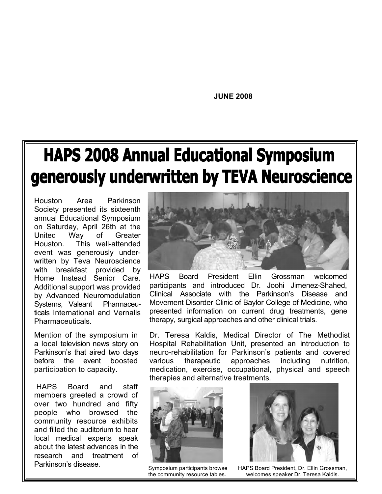**JUNE 2008**

### **HAPS 2008 Annual Educational Symposium** generously underwritten by TEVA Neuroscience

Houston Area Parkinson Society presented its sixteenth annual Educational Symposium on Saturday, April 26th at the United Way of Greater Houston. This well-attended event was generously underwritten by Teva Neuroscience with breakfast provided by Home Instead Senior Care. Additional support was provided by Advanced Neuromodulation Systems, Valeant Pharmaceuticals International and Vernalis Pharmaceuticals.

Mention of the symposium in a local television news story on Parkinson's that aired two days before the event boosted participation to capacity.

HAPS Board and staff members greeted a crowd of over two hundred and fifty people who browsed the community resource exhibits and filled the auditorium to hear local medical experts speak about the latest advances in the research and treatment of Parkinson's disease.



a Clinical Associate with the Parkinson's Disease and Movement Disorder Clinic of Baylor College of Medicine, who HAPS Board President Ellin Grossman welcomed participants and introduced Dr. Joohi Jimenez-Shahed, presented information on current drug treatments, gene therapy, surgical approaches and other clinical trials.

Hospital Rehabilitation Unit, presented an introduction to nutrition. Dr. Teresa Kaldis, Medical Director of The Methodist neuro-rehabilitation for Parkinson's patients and covered various therapeutic approaches including medication, exercise, occupational, physical and speech therapies and alternative treatments.



Symposium participants browse the community resource tables.



c

HAPS Board President, Dr. Ellin Grossman, welcomes speaker Dr. Teresa Kaldis.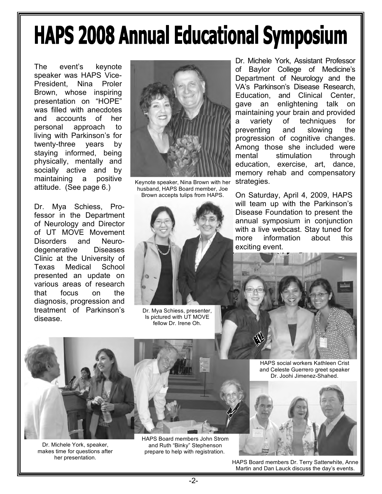## **HAPS 2008 Annual Educational Symposium**

The event's keynote speaker was HAPS Vice-President, Nina Proler Brown, whose inspiring presentation on "HOPE" was filled with anecdotes and accounts of her personal approach to living with Parkinson's for twenty-three years by staying informed, being physically, mentally and socially active and by maintaining a positive attitude. (See page 6.)

Dr. Mya Schiess, Professor in the Department of Neurology and Director of UT MOVE Movement Disorders and Neurodegenerative Diseases Clinic at the University of Texas Medical School presented an update on various areas of research that focus on the diagnosis, progression and treatment of Parkinson's disease.



Keynote speaker, Nina Brown with her husband, HAPS Board member, Joe Brown accepts tulips from HAPS.



Dr. Mya Schiess, presenter, Is pictured with UT MOVE fellow Dr. Irene Oh.

Dr. Michele York, Assistant Professor of Baylor College of Medicine's Department of Neurology and the VA's Parkinson's Disease Research, Education, and Clinical Center, gave an enlightening talk on maintaining your brain and provided a variety of techniques for preventing and slowing the progression of cognitive changes. Among those she included were mental stimulation through education, exercise, art, dance, memory rehab and compensatory strategies.

On Saturday, April 4, 2009, HAPS will team up with the Parkinson's Disease Foundation to present the annual symposium in conjunction with a live webcast. Stay tuned for more information about this exciting event.





Dr. Michele York, speaker, makes time for questions after her presentation.

HAPS Board members John Strom and Ruth "Binky" Stephenson prepare to help with registration.

HAPS social workers Kathleen Crist and Celeste Guerrero greet speaker Dr. Joohi Jimenez-Shahed.



HAPS Board members Dr. Terry Satterwhite, Anne Martin and Dan Lauck discuss the day's events.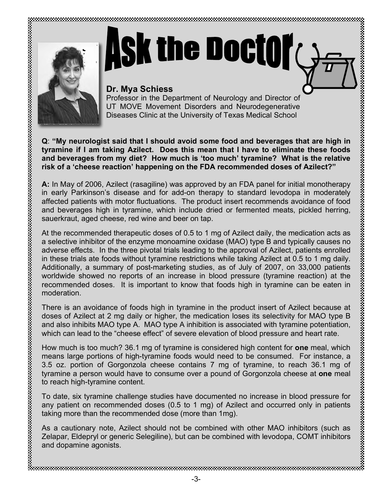

# **Ask the Doctof**

#### **Dr. Mya Schiess**

Professor in the Department of Neurology and Director of UT MOVE Movement Disorders and Neurodegenerative Diseases Clinic at the University of Texas Medical School

**Q**: **"My neurologist said that I should avoid some food and beverages that are high in tyramine if I am taking Azilect. Does this mean that I have to eliminate these foods and beverages from my diet? How much is 'too much' tyramine? What is the relative risk of a 'cheese reaction' happening on the FDA recommended doses of Azilect?"**

**A:** In May of 2006, Azilect (rasagiline) was approved by an FDA panel for initial monotherapy in early Parkinson's disease and for add-on therapy to standard levodopa in moderately affected patients with motor fluctuations. The product insert recommends avoidance of food and beverages high in tyramine, which include dried or fermented meats, pickled herring, sauerkraut, aged cheese, red wine and beer on tap.

At the recommended therapeutic doses of 0.5 to 1 mg of Azilect daily, the medication acts as a selective inhibitor of the enzyme monoamine oxidase (MAO) type B and typically causes no adverse effects. In the three pivotal trials leading to the approval of Azilect, patients enrolled in these trials ate foods without tyramine restrictions while taking Azilect at 0.5 to 1 mg daily. Additionally, a summary of post-marketing studies, as of July of 2007, on 33,000 patients worldwide showed no reports of an increase in blood pressure (tyramine reaction) at the recommended doses. It is important to know that foods high in tyramine can be eaten in moderation.

There is an avoidance of foods high in tyramine in the product insert of Azilect because at doses of Azilect at 2 mg daily or higher, the medication loses its selectivity for MAO type B and also inhibits MAO type A. MAO type A inhibition is associated with tyramine potentiation, which can lead to the "cheese effect" of severe elevation of blood pressure and heart rate.

How much is too much? 36.1 mg of tyramine is considered high content for **one** meal, which means large portions of high-tyramine foods would need to be consumed. For instance, a 3.5 oz. portion of Gorgonzola cheese contains 7 mg of tyramine, to reach 36.1 mg of tyramine a person would have to consume over a pound of Gorgonzola cheese at **one** meal to reach high-tyramine content.

To date, six tyramine challenge studies have documented no increase in blood pressure for any patient on recommended doses (0.5 to 1 mg) of Azilect and occurred only in patients taking more than the recommended dose (more than 1mg).

As a cautionary note, Azilect should not be combined with other MAO inhibitors (such as Zelapar, Eldepryl or generic Selegiline), but can be combined with levodopa, COMT inhibitors and dopamine agonists.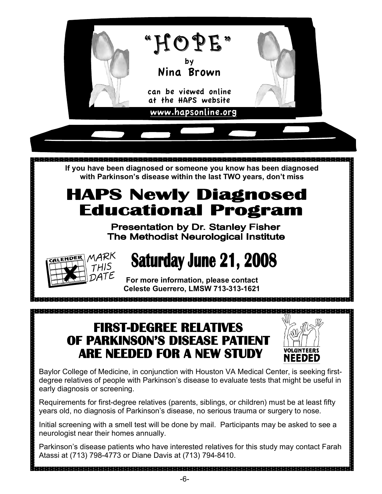

Parkinson's disease patients who have interested relatives for this study may contact Farah Atassi at (713) 798-4773 or Diane Davis at (713) 794-8410.

a sebelah dari sebelah dan berbeda dari sebelah dan berbeda dari sebelah dari sebelah dan berbeda dan berbeda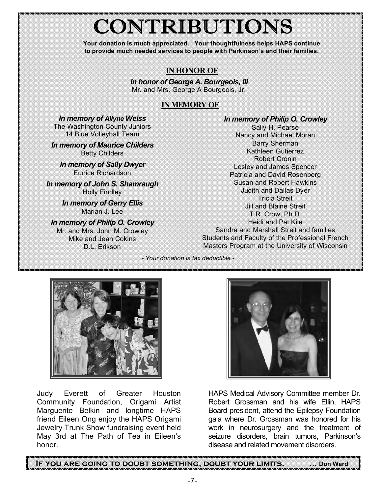## CONTRIBUTIONS

**Your donation is much appreciated. Your thoughtfulness helps HAPS continue to provide much needed services to people with Parkinson's and their families.**

#### **IN HONOR OF**

*In honor of George A. Bourgeois, III* Mr. and Mrs. George A Bourgeois, Jr.

#### **IN MEMORY OF**

*In memory of Allyne Weiss* The Washington County Juniors 14 Blue Volleyball Team

*In memory of Maurice Childers* Betty Childers

*In memory of Sally Dwyer* Eunice Richardson

*In memory of John S. Shamraugh* Holly Findley

*In memory of Gerry Ellis* Marian J. Lee

*In memory of Philip O. Crowley*

Mr. and Mrs. John M. Crowley Mike and Jean Cokins D.L. Erikson

*In memory of Philip O. Crowley*

Sally H. Pearse Nancy and Michael Moran Barry Sherman Kathleen Gutierrez Robert Cronin Lesley and James Spencer Patricia and David Rosenberg Susan and Robert Hawkins Judith and Dallas Dyer Tricia Streit Jill and Blaine Streit T.R. Crow, Ph.D. Heidi and Pat Kile Sandra and Marshall Streit and families Students and Faculty of the Professional French Masters Program at the University of Wisconsin

*- Your donation is tax deductible -*



Judy Everett of Greater Houston Community Foundation, Origami Artist Marguerite Belkin and longtime HAPS friend Eileen Ong enjoy the HAPS Origami Jewelry Trunk Show fundraising event held May 3rd at The Path of Tea in Eileen's honor.



HAPS Medical Advisory Committee member Dr. Robert Grossman and his wife Ellin, HAPS Board president, attend the Epilepsy Foundation gala where Dr. Grossman was honored for his work in neurosurgery and the treatment of seizure disorders, brain tumors, Parkinson's disease and related movement disorders.

ļ  **If you are going to doubt something, doubt your limits. … Don Ward**